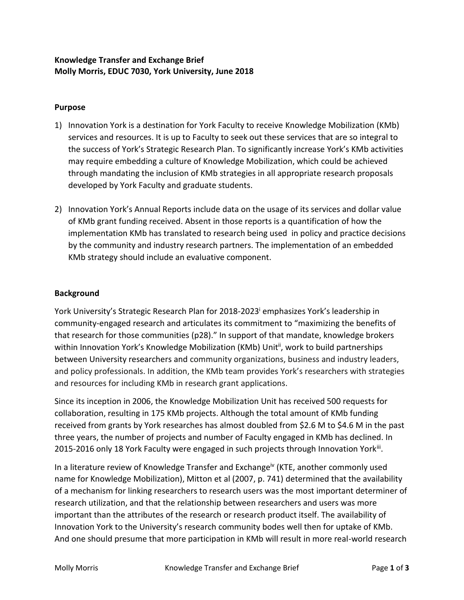# **Knowledge Transfer and Exchange Brief Molly Morris, EDUC 7030, York University, June 2018**

# **Purpose**

- 1) Innovation York is a destination for York Faculty to receive Knowledge Mobilization (KMb) services and resources. It is up to Faculty to seek out these services that are so integral to the success of York's Strategic Research Plan. To significantly increase York's KMb activities may require embedding a culture of Knowledge Mobilization, which could be achieved through mandating the inclusion of KMb strategies in all appropriate research proposals developed by York Faculty and graduate students.
- 2) Innovation York's Annual Reports include data on the usage of its services and dollar value of KMb grant funding received. Absent in those reports is a quantification of how the implementation KMb has translated to research being used in policy and practice decisions by the community and industry research partners. The implementation of an embedded KMb strategy should include an evaluative component.

### **Background**

York University's Strategic Research Plan for 2018-2023<sup>i</sup> emphasizes York's leadership in community-engaged research and articulates its commitment to "maximizing the benefits of that research for those communities (p28)." In support of that mandate, knowledge brokers within Innovation York's Knowledge Mobilization (KMb) Unit<sup>ii</sup>, work to build partnerships between University researchers and community organizations, business and industry leaders, and policy professionals. In addition, the KMb team provides York's researchers with strategies and resources for including KMb in research grant applications.

Since its inception in 2006, the Knowledge Mobilization Unit has received 500 requests for collaboration, resulting in 175 KMb projects. Although the total amount of KMb funding received from grants by York researches has almost doubled from \$2.6 M to \$4.6 M in the past three years, the number of projects and number of Faculty engaged in KMb has declined. In 2015-2016 only 18 York Faculty were engaged in such projects through Innovation Yorkii.

In a literature review of Knowledge Transfer and Exchange<sup>iv</sup> (KTE, another commonly used name for Knowledge Mobilization), Mitton et al (2007, p. 741) determined that the availability of a mechanism for linking researchers to research users was the most important determiner of research utilization, and that the relationship between researchers and users was more important than the attributes of the research or research product itself. The availability of Innovation York to the University's research community bodes well then for uptake of KMb. And one should presume that more participation in KMb will result in more real-world research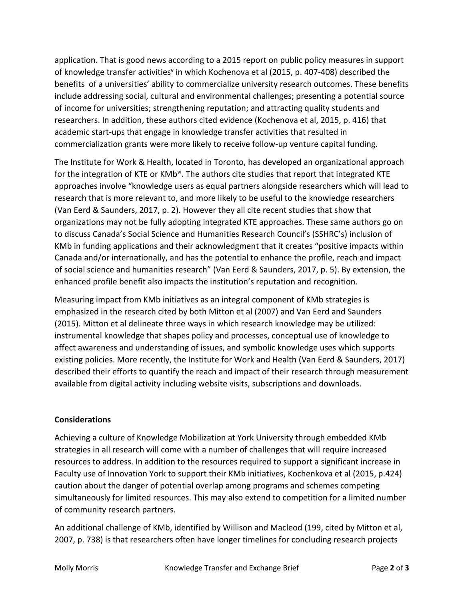application. That is good news according to a 2015 report on public policy measures in support of knowledge transfer activities<sup>v</sup> in which Kochenova et al (2015, p. 407-408) described the benefits of a universities' ability to commercialize university research outcomes. These benefits include addressing social, cultural and environmental challenges; presenting a potential source of income for universities; strengthening reputation; and attracting quality students and researchers. In addition, these authors cited evidence (Kochenova et al, 2015, p. 416) that academic start-ups that engage in knowledge transfer activities that resulted in commercialization grants were more likely to receive follow-up venture capital funding.

The Institute for Work & Health, located in Toronto, has developed an organizational approach for the integration of KTE or KMb<sup>vi</sup>. The authors cite studies that report that integrated KTE approaches involve "knowledge users as equal partners alongside researchers which will lead to research that is more relevant to, and more likely to be useful to the knowledge researchers (Van Eerd & Saunders, 2017, p. 2). However they all cite recent studies that show that organizations may not be fully adopting integrated KTE approaches. These same authors go on to discuss Canada's Social Science and Humanities Research Council's (SSHRC's) inclusion of KMb in funding applications and their acknowledgment that it creates "positive impacts within Canada and/or internationally, and has the potential to enhance the profile, reach and impact of social science and humanities research" (Van Eerd & Saunders, 2017, p. 5). By extension, the enhanced profile benefit also impacts the institution's reputation and recognition.

Measuring impact from KMb initiatives as an integral component of KMb strategies is emphasized in the research cited by both Mitton et al (2007) and Van Eerd and Saunders (2015). Mitton et al delineate three ways in which research knowledge may be utilized: instrumental knowledge that shapes policy and processes, conceptual use of knowledge to affect awareness and understanding of issues, and symbolic knowledge uses which supports existing policies. More recently, the Institute for Work and Health (Van Eerd & Saunders, 2017) described their efforts to quantify the reach and impact of their research through measurement available from digital activity including website visits, subscriptions and downloads.

### **Considerations**

Achieving a culture of Knowledge Mobilization at York University through embedded KMb strategies in all research will come with a number of challenges that will require increased resources to address. In addition to the resources required to support a significant increase in Faculty use of Innovation York to support their KMb initiatives, Kochenkova et al (2015, p.424) caution about the danger of potential overlap among programs and schemes competing simultaneously for limited resources. This may also extend to competition for a limited number of community research partners.

An additional challenge of KMb, identified by Willison and Macleod (199, cited by Mitton et al, 2007, p. 738) is that researchers often have longer timelines for concluding research projects